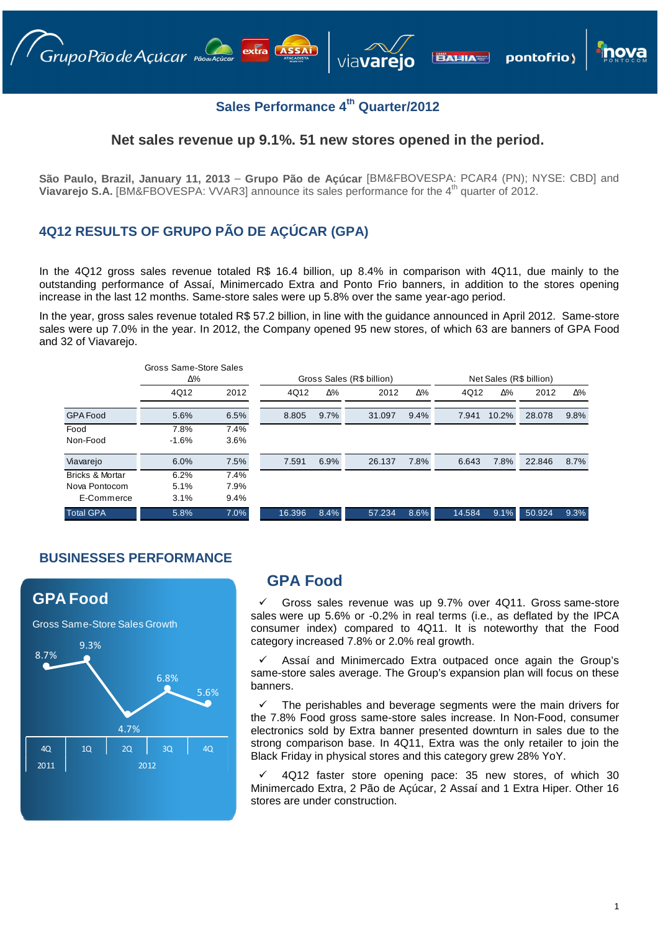# **Sales Performance 4th Quarter/2012**

#### **Net sales revenue up 9.1%. 51 new stores opened in the period.**

**São Paulo, Brazil, January 11, 2013** – **Grupo Pão de Açúcar** [BM&FBOVESPA: PCAR4 (PN); NYSE: CBD] and **Viavarejo S.A.** [BM&FBOVESPA: VVAR3] announce its sales performance for the 4<sup>th</sup> quarter of 2012.

#### **4Q12 RESULTS OF GRUPO PÃO DE AÇÚCAR (GPA)**

In the 4Q12 gross sales revenue totaled R\$ 16.4 billion, up 8.4% in comparison with 4Q11, due mainly to the outstanding performance of Assaí, Minimercado Extra and Ponto Frio banners, in addition to the stores opening increase in the last 12 months. Same-store sales were up 5.8% over the same year-ago period.

In the year, gross sales revenue totaled R\$ 57.2 billion, in line with the guidance announced in April 2012. Same-store sales were up 7.0% in the year. In 2012, the Company opened 95 new stores, of which 63 are banners of GPA Food and 32 of Viavarejo.

|                            | Gross Same-Store Sales<br>Δ% |      | Gross Sales (R\$ billion) |      |        |            | Net Sales (R\$ billion) |       |        |      |
|----------------------------|------------------------------|------|---------------------------|------|--------|------------|-------------------------|-------|--------|------|
|                            | 4Q12                         | 2012 | 4Q12                      | Δ%   | 2012   | $\Delta\%$ | 4Q12                    | Δ%    | 2012   | Δ%   |
| <b>GPA Food</b>            | 5.6%                         | 6.5% | 8.805                     | 9.7% | 31.097 | 9.4%       | 7.941                   | 10.2% | 28,078 | 9.8% |
| Food                       | 7.8%                         | 7.4% |                           |      |        |            |                         |       |        |      |
| Non-Food                   | $-1.6%$                      | 3.6% |                           |      |        |            |                         |       |        |      |
| Viavarejo                  | 6.0%                         | 7.5% | 7.591                     | 6.9% | 26.137 | 7.8%       | 6.643                   | 7.8%  | 22.846 | 8.7% |
| <b>Bricks &amp; Mortar</b> | 6.2%                         | 7.4% |                           |      |        |            |                         |       |        |      |
| Nova Pontocom              | 5.1%                         | 7.9% |                           |      |        |            |                         |       |        |      |
| E-Commerce                 | 3.1%                         | 9.4% |                           |      |        |            |                         |       |        |      |
| <b>Total GPA</b>           | 5.8%                         | 7.0% | 16.396                    | 8.4% | 57.234 | 8.6%       | 14.584                  | 9.1%  | 50.924 | 9.3% |

### **BUSINESSES PERFORMANCE**



### **GPA Food**

 Gross sales revenue was up 9.7% over 4Q11. Gross same-store sales were up 5.6% or -0.2% in real terms (i.e., as deflated by the IPCA consumer index) compared to 4Q11. It is noteworthy that the Food category increased 7.8% or 2.0% real growth.

 Assaí and Minimercado Extra outpaced once again the Group's same-store sales average. The Group's expansion plan will focus on these banners.

 The perishables and beverage segments were the main drivers for the 7.8% Food gross same-store sales increase. In Non-Food, consumer electronics sold by Extra banner presented downturn in sales due to the strong comparison base. In 4Q11, Extra was the only retailer to join the Black Friday in physical stores and this category grew 28% YoY.

 4Q12 faster store opening pace: 35 new stores, of which 30 Minimercado Extra, 2 Pão de Açúcar, 2 Assaí and 1 Extra Hiper. Other 16 stores are under construction.